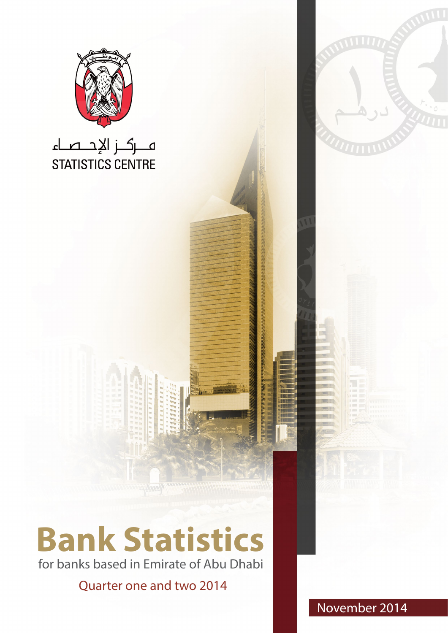

for banks based in Emirate of Abu Dhabi

Quarter one and two 2014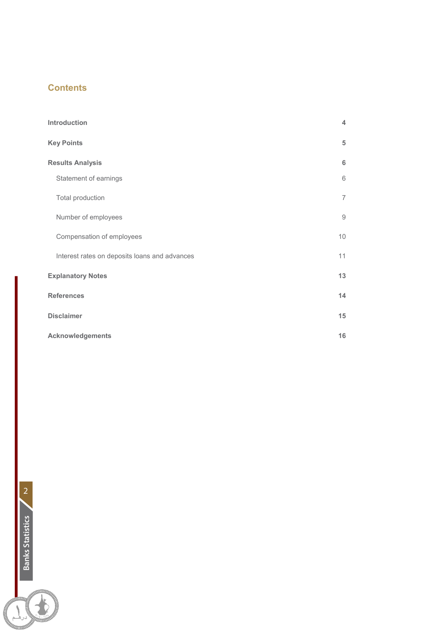# **Contents**

| Introduction                                  | 4              |
|-----------------------------------------------|----------------|
| <b>Key Points</b>                             | 5              |
| <b>Results Analysis</b>                       | 6              |
| Statement of earnings                         | 6              |
| Total production                              | $\overline{7}$ |
| Number of employees                           | 9              |
| Compensation of employees                     | 10             |
| Interest rates on deposits loans and advances | 11             |
| <b>Explanatory Notes</b>                      | 13             |
| <b>References</b>                             | 14             |
| <b>Disclaimer</b>                             | 15             |
| Acknowledgements                              | 16             |



LA COMPANY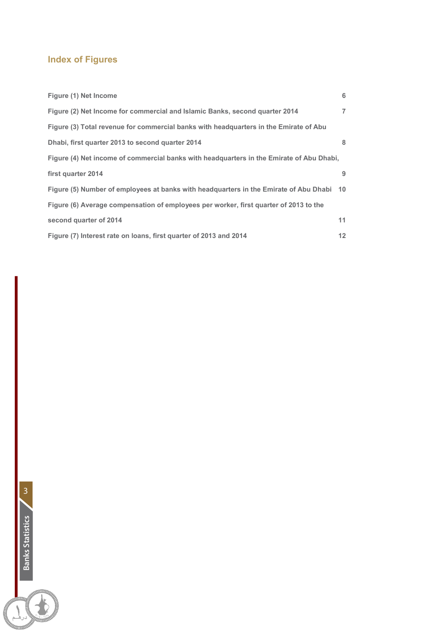# **Index of Figures**

| Figure (1) Net Income                                                                    | 6              |
|------------------------------------------------------------------------------------------|----------------|
| Figure (2) Net Income for commercial and Islamic Banks, second quarter 2014              | $\overline{7}$ |
| Figure (3) Total revenue for commercial banks with headquarters in the Emirate of Abu    |                |
| Dhabi, first quarter 2013 to second quarter 2014                                         | 8              |
| Figure (4) Net income of commercial banks with headquarters in the Emirate of Abu Dhabi, |                |
| first quarter 2014                                                                       | 9              |
| Figure (5) Number of employees at banks with headquarters in the Emirate of Abu Dhabi 10 |                |
| Figure (6) Average compensation of employees per worker, first quarter of 2013 to the    |                |
| second quarter of 2014                                                                   | 11             |
| Figure (7) Interest rate on loans, first quarter of 2013 and 2014                        | 12             |

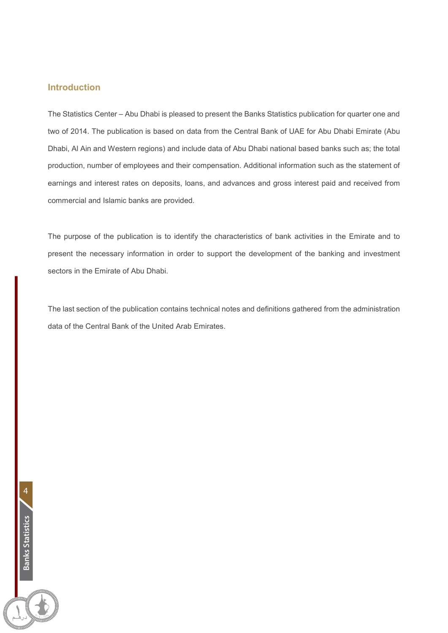### **Introduction**

The Statistics Center – Abu Dhabi is pleased to present the Banks Statistics publication for quarter one and two of 2014. The publication is based on data from the Central Bank of UAE for Abu Dhabi Emirate (Abu Dhabi, Al Ain and Western regions) and include data of Abu Dhabi national based banks such as; the total production, number of employees and their compensation. Additional information such as the statement of earnings and interest rates on deposits, loans, and advances and gross interest paid and received from commercial and Islamic banks are provided.

The purpose of the publication is to identify the characteristics of bank activities in the Emirate and to present the necessary information in order to support the development of the banking and investment sectors in the Emirate of Abu Dhabi.

The last section of the publication contains technical notes and definitions gathered from the administration data of the Central Bank of the United Arab Emirates.

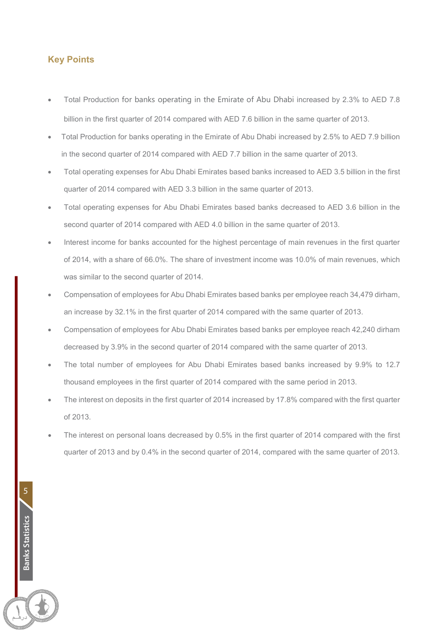### **Key Points**

5

**Banks Statistics**

**Banks Statistics** 

- Total Production for banks operating in the Emirate of Abu Dhabi increased by 2.3% to AED 7.8 billion in the first quarter of 2014 compared with AED 7.6 billion in the same quarter of 2013.
- Total Production for banks operating in the Emirate of Abu Dhabi increased by 2.5% to AED 7.9 billion in the second quarter of 2014 compared with AED 7.7 billion in the same quarter of 2013.
- Total operating expenses for Abu Dhabi Emirates based banks increased to AED 3.5 billion in the first quarter of 2014 compared with AED 3.3 billion in the same quarter of 2013.
- Total operating expenses for Abu Dhabi Emirates based banks decreased to AED 3.6 billion in the second quarter of 2014 compared with AED 4.0 billion in the same quarter of 2013.
- Interest income for banks accounted for the highest percentage of main revenues in the first quarter of 2014, with a share of 66.0%. The share of investment income was 10.0% of main revenues, which was similar to the second quarter of 2014.
- Compensation of employees for Abu Dhabi Emirates based banks per employee reach 34,479 dirham, an increase by 32.1% in the first quarter of 2014 compared with the same quarter of 2013.
- Compensation of employees for Abu Dhabi Emirates based banks per employee reach 42,240 dirham decreased by 3.9% in the second quarter of 2014 compared with the same quarter of 2013.
- The total number of employees for Abu Dhabi Emirates based banks increased by 9.9% to 12.7 thousand employees in the first quarter of 2014 compared with the same period in 2013.
- The interest on deposits in the first quarter of 2014 increased by 17.8% compared with the first quarter of 2013.
- The interest on personal loans decreased by 0.5% in the first quarter of 2014 compared with the first quarter of 2013 and by 0.4% in the second quarter of 2014, compared with the same quarter of 2013.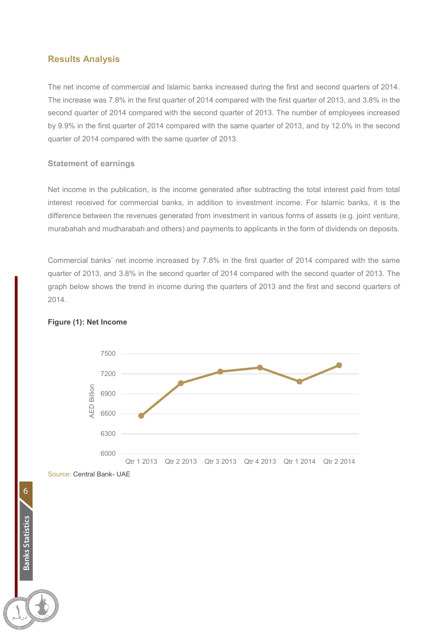### **Results Analysis**

The net income of commercial and Islamic banks increased during the first and second quarters of 2014. The increase was 7.8% in the first quarter of 2014 compared with the first quarter of 2013, and 3.8% in the second quarter of 2014 compared with the second quarter of 2013. The number of employees increased by 9.9% in the first quarter of 2014 compared with the same quarter of 2013, and by 12.0% in the second quarter of 2014 compared with the same quarter of 2013.

#### **Statement of earnings**

Net income in the publication, is the income generated after subtracting the total interest paid from total interest received for commercial banks, in addition to investment income. For Islamic banks, it is the difference between the revenues generated from investment in various forms of assets (e.g. joint venture, murabahah and mudharabah and others) and payments to applicants in the form of dividends on deposits.

Commercial banks' net income increased by 7.8% in the first quarter of 2014 compared with the same quarter of 2013, and 3.8% in the second quarter of 2014 compared with the second quarter of 2013. The graph below shows the trend in income during the quarters of 2013 and the first and second quarters of 2014.



#### **Figure (1): Net Income**

Source: Central Bank- UAE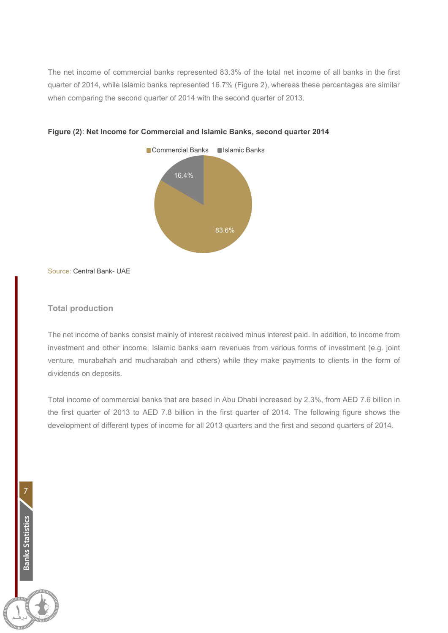The net income of commercial banks represented 83.3% of the total net income of all banks in the first quarter of 2014, while Islamic banks represented 16.7% (Figure 2), whereas these percentages are similar when comparing the second quarter of 2014 with the second quarter of 2013.





Source: Central Bank- UAE

### **Total production**

7

**Banks Statistics**

Banks Statistics

The net income of banks consist mainly of interest received minus interest paid. In addition, to income from investment and other income, Islamic banks earn revenues from various forms of investment (e.g. joint venture, murabahah and mudharabah and others) while they make payments to clients in the form of dividends on deposits.

Total income of commercial banks that are based in Abu Dhabi increased by 2.3%, from AED 7.6 billion in the first quarter of 2013 to AED 7.8 billion in the first quarter of 2014. The following figure shows the development of different types of income for all 2013 quarters and the first and second quarters of 2014.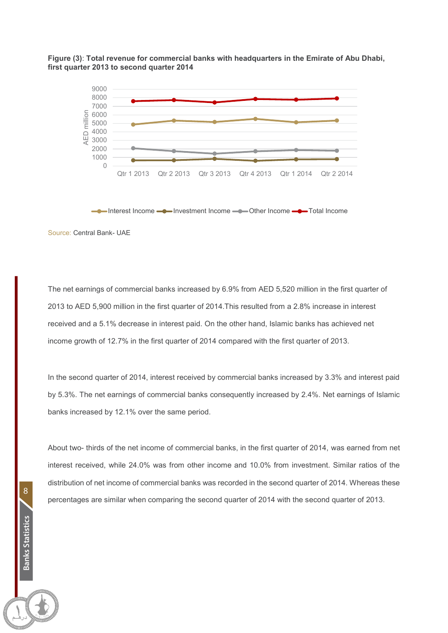



 $\rightarrow$  Interest Income  $\rightarrow$  Investment Income  $\rightarrow$  Other Income

Source: Central Bank- UAE

The net earnings of commercial banks increased by 6.9% from AED 5,520 million in the first quarter of 2013 to AED 5,900 million in the first quarter of 2014.This resulted from a 2.8% increase in interest received and a 5.1% decrease in interest paid. On the other hand, Islamic banks has achieved net income growth of 12.7% in the first quarter of 2014 compared with the first quarter of 2013.

In the second quarter of 2014, interest received by commercial banks increased by 3.3% and interest paid by 5.3%. The net earnings of commercial banks consequently increased by 2.4%. Net earnings of Islamic banks increased by 12.1% over the same period.

About two- thirds of the net income of commercial banks, in the first quarter of 2014, was earned from net interest received, while 24.0% was from other income and 10.0% from investment. Similar ratios of the distribution of net income of commercial banks was recorded in the second quarter of 2014. Whereas these percentages are similar when comparing the second quarter of 2014 with the second quarter of 2013.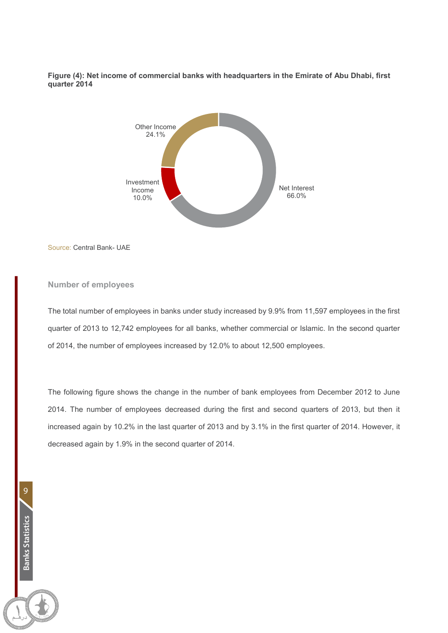**Figure (4): Net income of commercial banks with headquarters in the Emirate of Abu Dhabi, first quarter 2014**



Source: Central Bank- UAE

#### **Number of employees**

The total number of employees in banks under study increased by 9.9% from 11,597 employees in the first quarter of 2013 to 12,742 employees for all banks, whether commercial or Islamic. In the second quarter of 2014, the number of employees increased by 12.0% to about 12,500 employees.

The following figure shows the change in the number of bank employees from December 2012 to June 2014. The number of employees decreased during the first and second quarters of 2013, but then it increased again by 10.2% in the last quarter of 2013 and by 3.1% in the first quarter of 2014. However, it decreased again by 1.9% in the second quarter of 2014.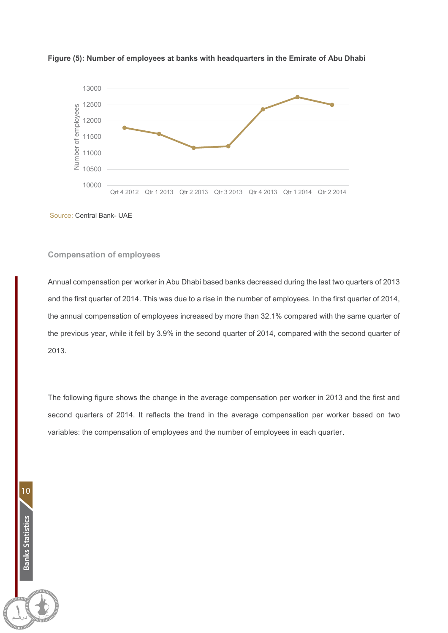



Source: Central Bank- UAE

#### **Compensation of employees**

Annual compensation per worker in Abu Dhabi based banks decreased during the last two quarters of 2013 and the first quarter of 2014. This was due to a rise in the number of employees. In the first quarter of 2014, the annual compensation of employees increased by more than 32.1% compared with the same quarter of the previous year, while it fell by 3.9% in the second quarter of 2014, compared with the second quarter of 2013.

The following figure shows the change in the average compensation per worker in 2013 and the first and second quarters of 2014. It reflects the trend in the average compensation per worker based on two variables: the compensation of employees and the number of employees in each quarter.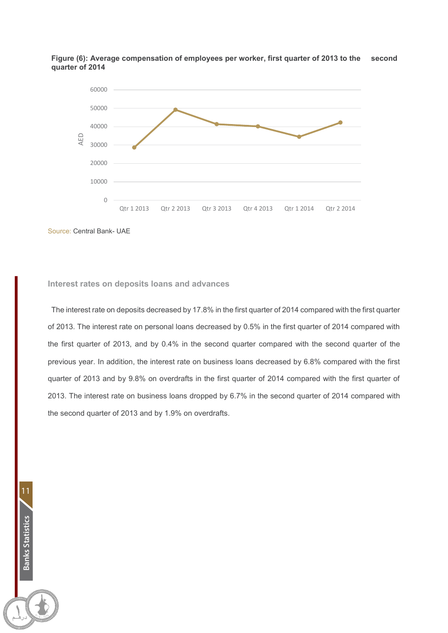



Source: Central Bank- UAE

#### **Interest rates on deposits loans and advances**

The interest rate on deposits decreased by 17.8% in the first quarter of 2014 compared with the first quarter of 2013. The interest rate on personal loans decreased by 0.5% in the first quarter of 2014 compared with the first quarter of 2013, and by 0.4% in the second quarter compared with the second quarter of the previous year. In addition, the interest rate on business loans decreased by 6.8% compared with the first quarter of 2013 and by 9.8% on overdrafts in the first quarter of 2014 compared with the first quarter of 2013. The interest rate on business loans dropped by 6.7% in the second quarter of 2014 compared with the second quarter of 2013 and by 1.9% on overdrafts.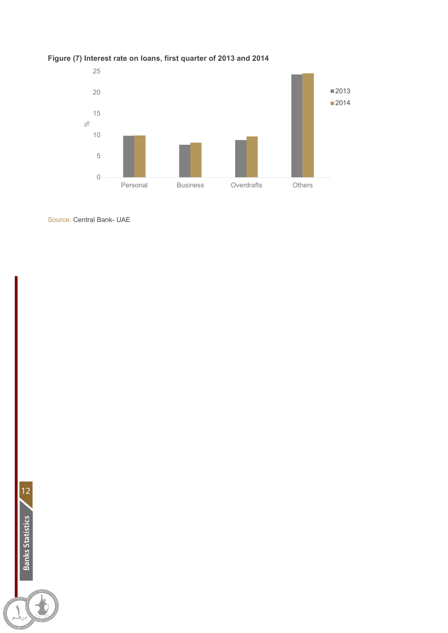

## **Figure (7) Interest rate on loans, first quarter of 2013 and 2014**

Source: Central Bank- UAE

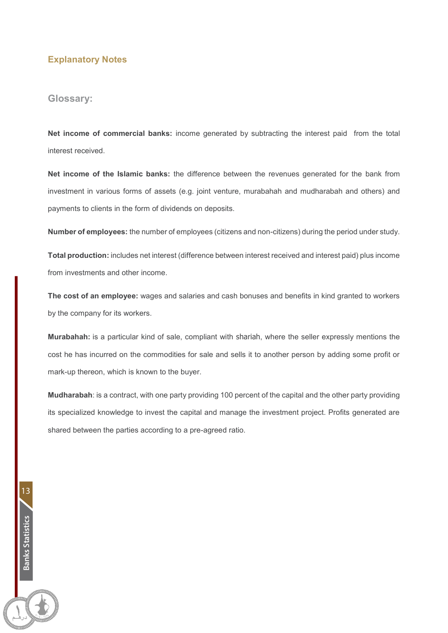### **Explanatory Notes**

#### **Glossary:**

13

**Banks Statistics**

Banks Statistics

**Net income of commercial banks:** income generated by subtracting the interest paid from the total interest received.

**Net income of the Islamic banks:** the difference between the revenues generated for the bank from investment in various forms of assets (e.g. joint venture, murabahah and mudharabah and others) and payments to clients in the form of dividends on deposits.

**Number of employees:** the number of employees (citizens and non-citizens) during the period under study.

**Total production:** includes net interest (difference between interest received and interest paid) plus income from investments and other income.

**The cost of an employee:** wages and salaries and cash bonuses and benefits in kind granted to workers by the company for its workers.

**Murabahah:** is a particular kind of sale, compliant with shariah, where the seller expressly mentions the cost he has incurred on the commodities for sale and sells it to another person by adding some profit or mark-up thereon, which is known to the buyer.

**Mudharabah**: is a contract, with one party providing 100 percent of the capital and the other party providing its specialized knowledge to invest the capital and manage the investment project. Profits generated are shared between the parties according to a pre-agreed ratio.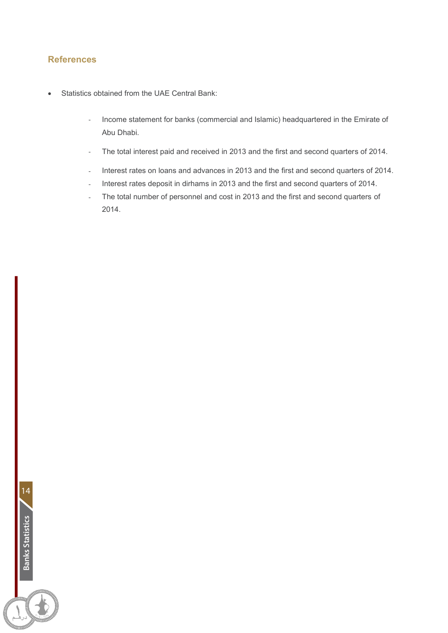### **References**

- Statistics obtained from the UAE Central Bank:
	- Income statement for banks (commercial and Islamic) headquartered in the Emirate of Abu Dhabi.
	- The total interest paid and received in 2013 and the first and second quarters of 2014.
	- Interest rates on loans and advances in 2013 and the first and second quarters of 2014.
	- Interest rates deposit in dirhams in 2013 and the first and second quarters of 2014.
	- The total number of personnel and cost in 2013 and the first and second quarters of 2014.

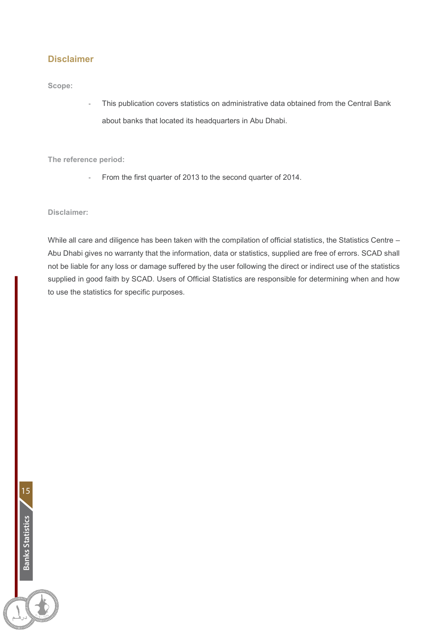### **Disclaimer**

**Scope:**

This publication covers statistics on administrative data obtained from the Central Bank about banks that located its headquarters in Abu Dhabi.

**The reference period:**

From the first quarter of 2013 to the second quarter of 2014.

**Disclaimer:**

While all care and diligence has been taken with the compilation of official statistics, the Statistics Centre – Abu Dhabi gives no warranty that the information, data or statistics, supplied are free of errors. SCAD shall not be liable for any loss or damage suffered by the user following the direct or indirect use of the statistics supplied in good faith by SCAD. Users of Official Statistics are responsible for determining when and how to use the statistics for specific purposes.